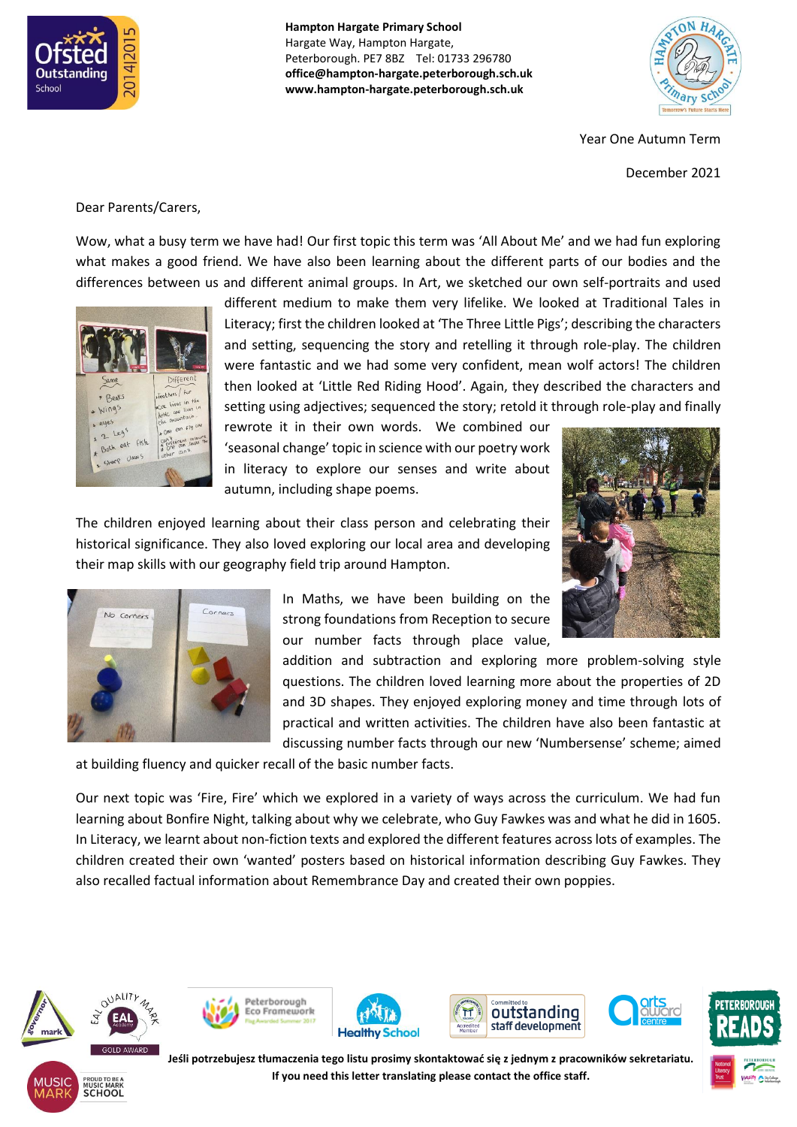

**Hampton Hargate Primary School** Hargate Way, Hampton Hargate, Peterborough. PE7 8BZ Tel: 01733 296780 **office@hampton-hargate.peterborough.sch.uk www.hampton-hargate.peterborough.sch.uk**



Year One Autumn Term

December 2021

Dear Parents/Carers,

Wow, what a busy term we have had! Our first topic this term was 'All About Me' and we had fun exploring what makes a good friend. We have also been learning about the different parts of our bodies and the differences between us and different animal groups. In Art, we sketched our own self-portraits and used



different medium to make them very lifelike. We looked at Traditional Tales in Literacy; first the children looked at 'The Three Little Pigs'; describing the characters and setting, sequencing the story and retelling it through role-play. The children were fantastic and we had some very confident, mean wolf actors! The children then looked at 'Little Red Riding Hood'. Again, they described the characters and setting using adjectives; sequenced the story; retold it through role-play and finally

rewrote it in their own words. We combined our 'seasonal change' topic in science with our poetry work in literacy to explore our senses and write about autumn, including shape poems.

The children enjoyed learning about their class person and celebrating their historical significance. They also loved exploring our local area and developing their map skills with our geography field trip around Hampton.





In Maths, we have been building on the strong foundations from Reception to secure our number facts through place value,

addition and subtraction and exploring more problem-solving style questions. The children loved learning more about the properties of 2D and 3D shapes. They enjoyed exploring money and time through lots of practical and written activities. The children have also been fantastic at discussing number facts through our new 'Numbersense' scheme; aimed

at building fluency and quicker recall of the basic number facts.

Our next topic was 'Fire, Fire' which we explored in a variety of ways across the curriculum. We had fun learning about Bonfire Night, talking about why we celebrate, who Guy Fawkes was and what he did in 1605. In Literacy, we learnt about non-fiction texts and explored the different features across lots of examples. The children created their own 'wanted' posters based on historical information describing Guy Fawkes. They also recalled factual information about Remembrance Day and created their own poppies.



**SCHOOL** 











**Jeśli potrzebujesz tłumaczenia tego listu prosimy skontaktować się z jednym z pracowników sekretariatu. If you need this letter translating please contact the office staff.**